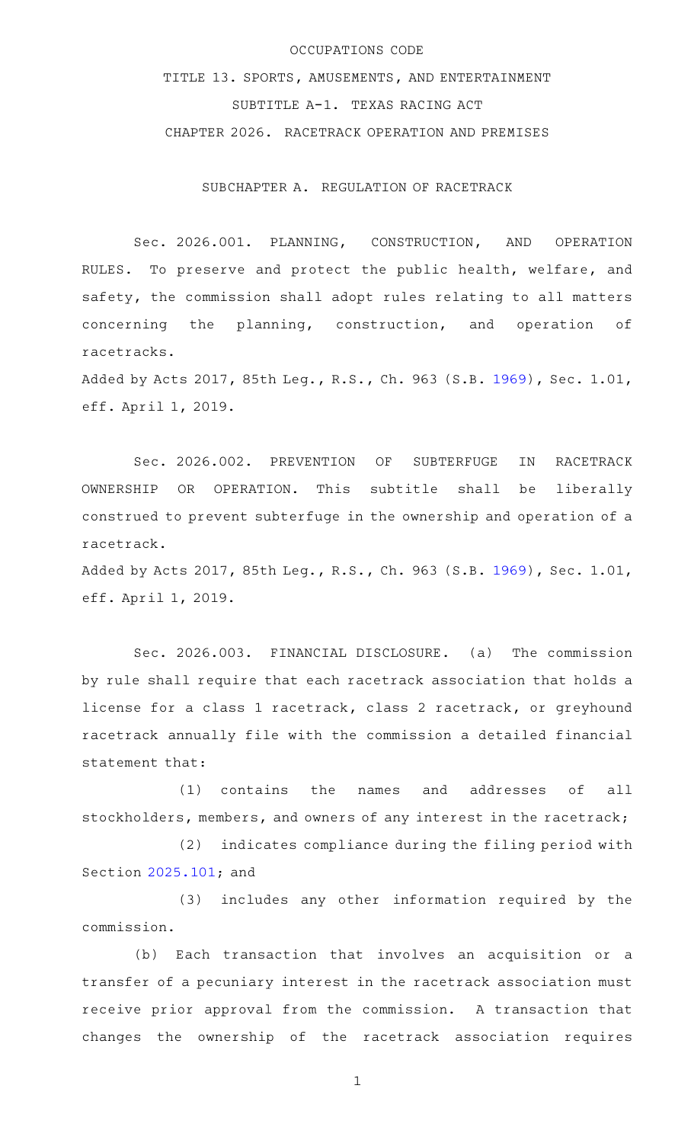## OCCUPATIONS CODE

TITLE 13. SPORTS, AMUSEMENTS, AND ENTERTAINMENT SUBTITLE A-1. TEXAS RACING ACT CHAPTER 2026. RACETRACK OPERATION AND PREMISES

SUBCHAPTER A. REGULATION OF RACETRACK

Sec. 2026.001. PLANNING, CONSTRUCTION, AND OPERATION RULES. To preserve and protect the public health, welfare, and safety, the commission shall adopt rules relating to all matters concerning the planning, construction, and operation of racetracks.

Added by Acts 2017, 85th Leg., R.S., Ch. 963 (S.B. [1969](http://www.legis.state.tx.us/tlodocs/85R/billtext/html/SB01969F.HTM)), Sec. 1.01, eff. April 1, 2019.

Sec. 2026.002. PREVENTION OF SUBTERFUGE IN RACETRACK OWNERSHIP OR OPERATION. This subtitle shall be liberally construed to prevent subterfuge in the ownership and operation of a racetrack.

Added by Acts 2017, 85th Leg., R.S., Ch. 963 (S.B. [1969](http://www.legis.state.tx.us/tlodocs/85R/billtext/html/SB01969F.HTM)), Sec. 1.01, eff. April 1, 2019.

Sec. 2026.003. FINANCIAL DISCLOSURE. (a) The commission by rule shall require that each racetrack association that holds a license for a class 1 racetrack, class 2 racetrack, or greyhound racetrack annually file with the commission a detailed financial statement that:

(1) contains the names and addresses of all stockholders, members, and owners of any interest in the racetrack;

(2) indicates compliance during the filing period with Section [2025.101](http://www.statutes.legis.state.tx.us/GetStatute.aspx?Code=OC&Value=2025.101); and

(3) includes any other information required by the commission.

(b) Each transaction that involves an acquisition or a transfer of a pecuniary interest in the racetrack association must receive prior approval from the commission. A transaction that changes the ownership of the racetrack association requires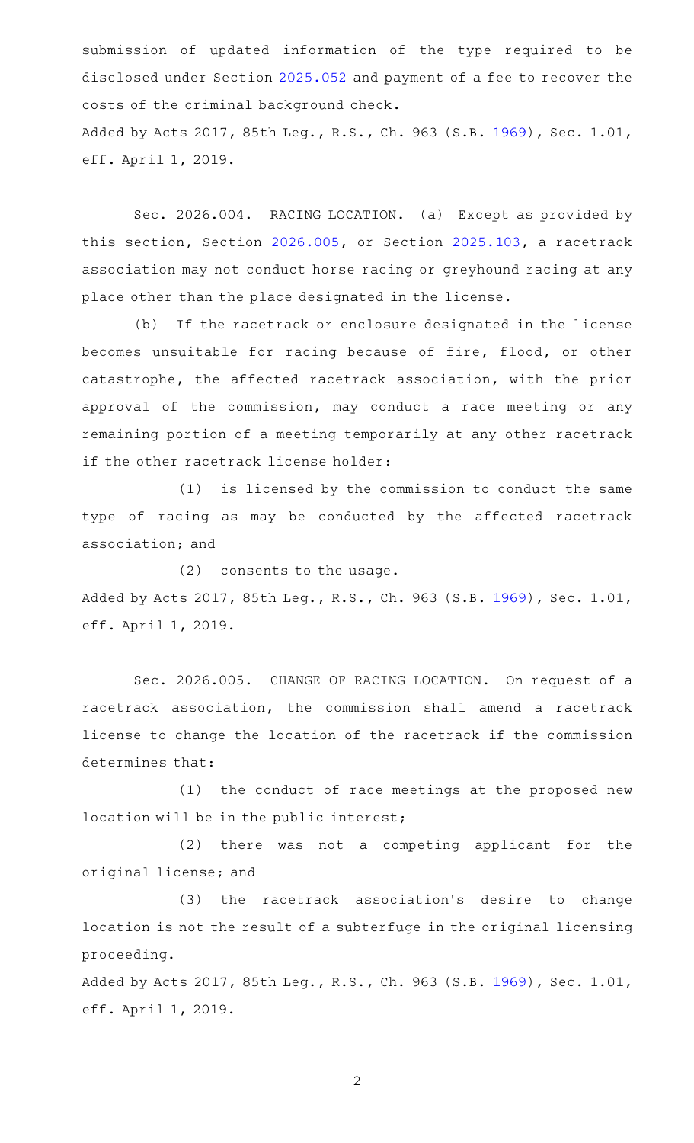submission of updated information of the type required to be disclosed under Section [2025.052](http://www.statutes.legis.state.tx.us/GetStatute.aspx?Code=OC&Value=2025.052) and payment of a fee to recover the costs of the criminal background check. Added by Acts 2017, 85th Leg., R.S., Ch. 963 (S.B. [1969](http://www.legis.state.tx.us/tlodocs/85R/billtext/html/SB01969F.HTM)), Sec. 1.01, eff. April 1, 2019.

Sec. 2026.004. RACING LOCATION. (a) Except as provided by this section, Section [2026.005,](http://www.statutes.legis.state.tx.us/GetStatute.aspx?Code=OC&Value=2026.005) or Section [2025.103](http://www.statutes.legis.state.tx.us/GetStatute.aspx?Code=OC&Value=2025.103), a racetrack association may not conduct horse racing or greyhound racing at any place other than the place designated in the license.

(b) If the racetrack or enclosure designated in the license becomes unsuitable for racing because of fire, flood, or other catastrophe, the affected racetrack association, with the prior approval of the commission, may conduct a race meeting or any remaining portion of a meeting temporarily at any other racetrack if the other racetrack license holder:

(1) is licensed by the commission to conduct the same type of racing as may be conducted by the affected racetrack association; and

 $(2)$  consents to the usage.

Added by Acts 2017, 85th Leg., R.S., Ch. 963 (S.B. [1969](http://www.legis.state.tx.us/tlodocs/85R/billtext/html/SB01969F.HTM)), Sec. 1.01, eff. April 1, 2019.

Sec. 2026.005. CHANGE OF RACING LOCATION. On request of a racetrack association, the commission shall amend a racetrack license to change the location of the racetrack if the commission determines that:

(1) the conduct of race meetings at the proposed new location will be in the public interest;

(2) there was not a competing applicant for the original license; and

(3) the racetrack association's desire to change location is not the result of a subterfuge in the original licensing proceeding.

Added by Acts 2017, 85th Leg., R.S., Ch. 963 (S.B. [1969](http://www.legis.state.tx.us/tlodocs/85R/billtext/html/SB01969F.HTM)), Sec. 1.01, eff. April 1, 2019.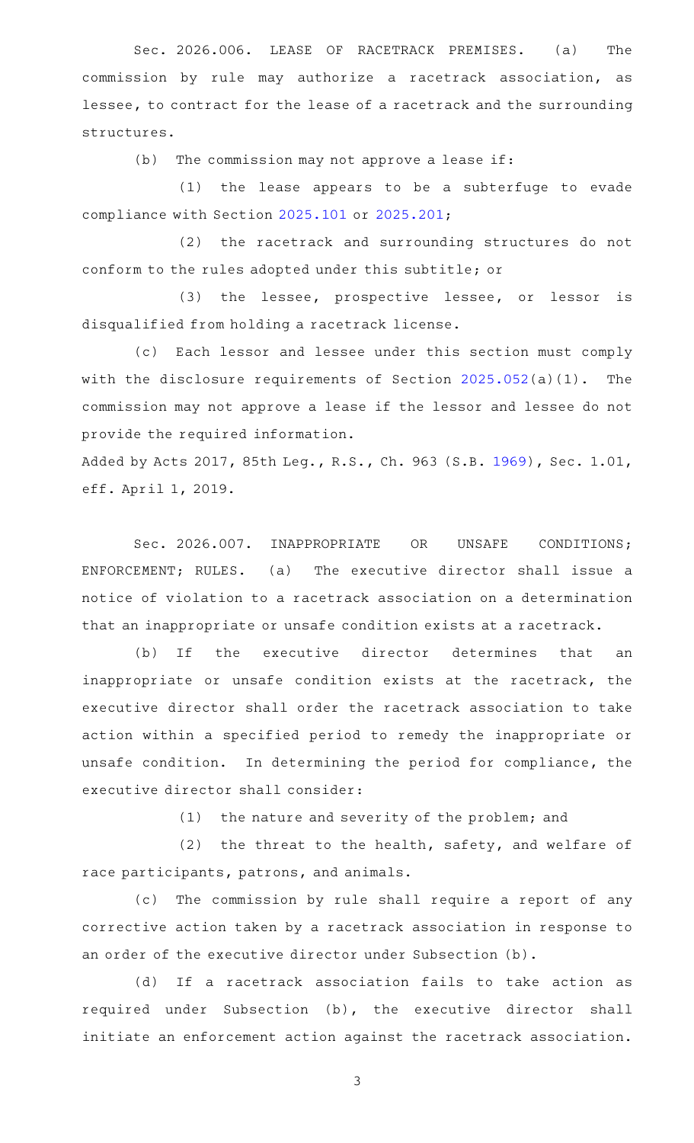Sec. 2026.006. LEASE OF RACETRACK PREMISES. (a) The commission by rule may authorize a racetrack association, as lessee, to contract for the lease of a racetrack and the surrounding structures.

 $(b)$  The commission may not approve a lease if:

(1) the lease appears to be a subterfuge to evade compliance with Section [2025.101](http://www.statutes.legis.state.tx.us/GetStatute.aspx?Code=OC&Value=2025.101) or [2025.201;](http://www.statutes.legis.state.tx.us/GetStatute.aspx?Code=OC&Value=2025.201)

(2) the racetrack and surrounding structures do not conform to the rules adopted under this subtitle; or

(3) the lessee, prospective lessee, or lessor is disqualified from holding a racetrack license.

(c) Each lessor and lessee under this section must comply with the disclosure requirements of Section [2025.052\(](http://www.statutes.legis.state.tx.us/GetStatute.aspx?Code=OC&Value=2025.052)a)(1). The commission may not approve a lease if the lessor and lessee do not provide the required information.

Added by Acts 2017, 85th Leg., R.S., Ch. 963 (S.B. [1969](http://www.legis.state.tx.us/tlodocs/85R/billtext/html/SB01969F.HTM)), Sec. 1.01, eff. April 1, 2019.

Sec. 2026.007. INAPPROPRIATE OR UNSAFE CONDITIONS; ENFORCEMENT; RULES. (a) The executive director shall issue a notice of violation to a racetrack association on a determination that an inappropriate or unsafe condition exists at a racetrack.

(b) If the executive director determines that an inappropriate or unsafe condition exists at the racetrack, the executive director shall order the racetrack association to take action within a specified period to remedy the inappropriate or unsafe condition. In determining the period for compliance, the executive director shall consider:

 $(1)$  the nature and severity of the problem; and

(2) the threat to the health, safety, and welfare of race participants, patrons, and animals.

(c) The commission by rule shall require a report of any corrective action taken by a racetrack association in response to an order of the executive director under Subsection (b).

(d) If a racetrack association fails to take action as required under Subsection (b), the executive director shall initiate an enforcement action against the racetrack association.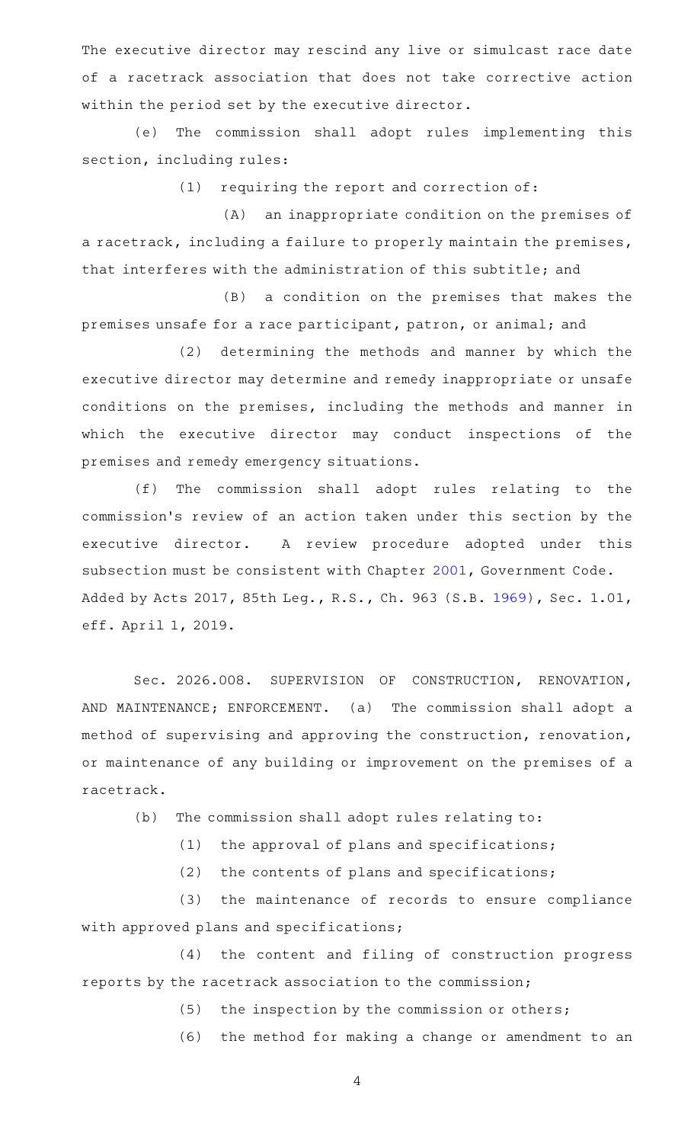The executive director may rescind any live or simulcast race date of a racetrack association that does not take corrective action within the period set by the executive director.

(e) The commission shall adopt rules implementing this section, including rules:

 $(1)$  requiring the report and correction of:

(A) an inappropriate condition on the premises of a racetrack, including a failure to properly maintain the premises, that interferes with the administration of this subtitle; and

(B) a condition on the premises that makes the premises unsafe for a race participant, patron, or animal; and

(2) determining the methods and manner by which the executive director may determine and remedy inappropriate or unsafe conditions on the premises, including the methods and manner in which the executive director may conduct inspections of the premises and remedy emergency situations.

(f) The commission shall adopt rules relating to the commission 's review of an action taken under this section by the executive director. A review procedure adopted under this subsection must be consistent with Chapter [2001,](http://www.statutes.legis.state.tx.us/GetStatute.aspx?Code=GV&Value=2001) Government Code. Added by Acts 2017, 85th Leg., R.S., Ch. 963 (S.B. [1969](http://www.legis.state.tx.us/tlodocs/85R/billtext/html/SB01969F.HTM)), Sec. 1.01, eff. April 1, 2019.

Sec. 2026.008. SUPERVISION OF CONSTRUCTION, RENOVATION, AND MAINTENANCE; ENFORCEMENT. (a) The commission shall adopt a method of supervising and approving the construction, renovation, or maintenance of any building or improvement on the premises of a racetrack.

(b) The commission shall adopt rules relating to:

(1) the approval of plans and specifications;

(2) the contents of plans and specifications;

(3) the maintenance of records to ensure compliance with approved plans and specifications;

(4) the content and filing of construction progress reports by the racetrack association to the commission;

 $(5)$  the inspection by the commission or others;

(6) the method for making a change or amendment to an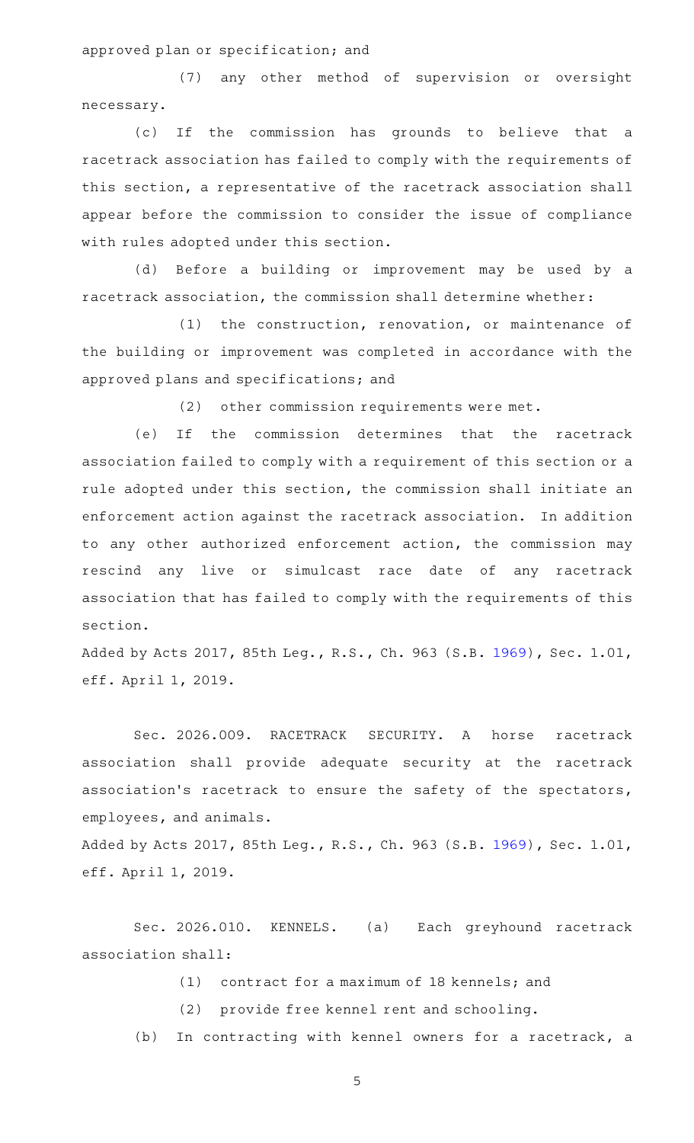approved plan or specification; and

(7) any other method of supervision or oversight necessary.

(c) If the commission has grounds to believe that a racetrack association has failed to comply with the requirements of this section, a representative of the racetrack association shall appear before the commission to consider the issue of compliance with rules adopted under this section.

(d) Before a building or improvement may be used by a racetrack association, the commission shall determine whether:

 $(1)$  the construction, renovation, or maintenance of the building or improvement was completed in accordance with the approved plans and specifications; and

(2) other commission requirements were met.

(e) If the commission determines that the racetrack association failed to comply with a requirement of this section or a rule adopted under this section, the commission shall initiate an enforcement action against the racetrack association. In addition to any other authorized enforcement action, the commission may rescind any live or simulcast race date of any racetrack association that has failed to comply with the requirements of this section.

Added by Acts 2017, 85th Leg., R.S., Ch. 963 (S.B. [1969](http://www.legis.state.tx.us/tlodocs/85R/billtext/html/SB01969F.HTM)), Sec. 1.01, eff. April 1, 2019.

Sec. 2026.009. RACETRACK SECURITY. A horse racetrack association shall provide adequate security at the racetrack association's racetrack to ensure the safety of the spectators, employees, and animals.

Added by Acts 2017, 85th Leg., R.S., Ch. 963 (S.B. [1969](http://www.legis.state.tx.us/tlodocs/85R/billtext/html/SB01969F.HTM)), Sec. 1.01, eff. April 1, 2019.

Sec. 2026.010. KENNELS. (a) Each greyhound racetrack association shall:

 $(1)$  contract for a maximum of 18 kennels; and

(2) provide free kennel rent and schooling.

(b) In contracting with kennel owners for a racetrack, a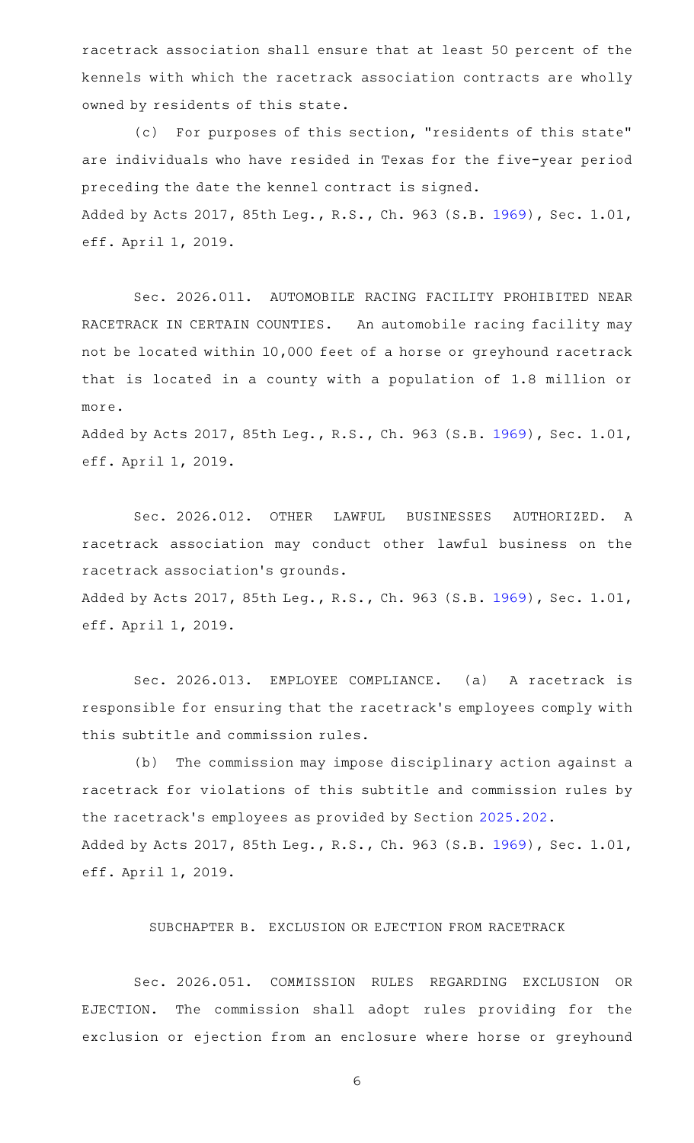racetrack association shall ensure that at least 50 percent of the kennels with which the racetrack association contracts are wholly owned by residents of this state.

(c) For purposes of this section, "residents of this state" are individuals who have resided in Texas for the five-year period preceding the date the kennel contract is signed. Added by Acts 2017, 85th Leg., R.S., Ch. 963 (S.B. [1969](http://www.legis.state.tx.us/tlodocs/85R/billtext/html/SB01969F.HTM)), Sec. 1.01, eff. April 1, 2019.

Sec. 2026.011. AUTOMOBILE RACING FACILITY PROHIBITED NEAR RACETRACK IN CERTAIN COUNTIES. An automobile racing facility may not be located within 10,000 feet of a horse or greyhound racetrack that is located in a county with a population of 1.8 million or more.

Added by Acts 2017, 85th Leg., R.S., Ch. 963 (S.B. [1969](http://www.legis.state.tx.us/tlodocs/85R/billtext/html/SB01969F.HTM)), Sec. 1.01, eff. April 1, 2019.

Sec. 2026.012. OTHER LAWFUL BUSINESSES AUTHORIZED. A racetrack association may conduct other lawful business on the racetrack association 's grounds.

Added by Acts 2017, 85th Leg., R.S., Ch. 963 (S.B. [1969](http://www.legis.state.tx.us/tlodocs/85R/billtext/html/SB01969F.HTM)), Sec. 1.01, eff. April 1, 2019.

Sec. 2026.013. EMPLOYEE COMPLIANCE. (a) A racetrack is responsible for ensuring that the racetrack 's employees comply with this subtitle and commission rules.

(b) The commission may impose disciplinary action against a racetrack for violations of this subtitle and commission rules by the racetrack 's employees as provided by Section [2025.202](http://www.statutes.legis.state.tx.us/GetStatute.aspx?Code=OC&Value=2025.202). Added by Acts 2017, 85th Leg., R.S., Ch. 963 (S.B. [1969](http://www.legis.state.tx.us/tlodocs/85R/billtext/html/SB01969F.HTM)), Sec. 1.01, eff. April 1, 2019.

SUBCHAPTER B. EXCLUSION OR EJECTION FROM RACETRACK

Sec. 2026.051. COMMISSION RULES REGARDING EXCLUSION OR EJECTION. The commission shall adopt rules providing for the exclusion or ejection from an enclosure where horse or greyhound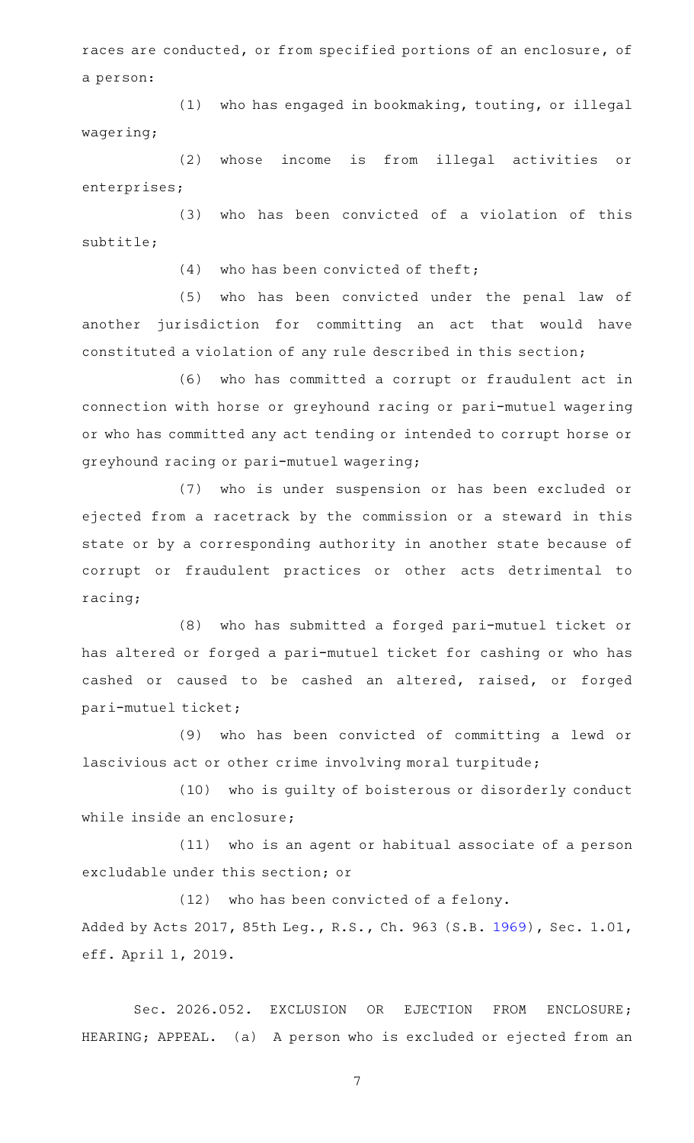races are conducted, or from specified portions of an enclosure, of a person:

(1) who has engaged in bookmaking, touting, or illegal wagering;

(2) whose income is from illegal activities or enterprises;

(3) who has been convicted of a violation of this subtitle;

 $(4)$  who has been convicted of theft;

(5) who has been convicted under the penal law of another jurisdiction for committing an act that would have constituted a violation of any rule described in this section;

(6) who has committed a corrupt or fraudulent act in connection with horse or greyhound racing or pari-mutuel wagering or who has committed any act tending or intended to corrupt horse or greyhound racing or pari-mutuel wagering;

(7) who is under suspension or has been excluded or ejected from a racetrack by the commission or a steward in this state or by a corresponding authority in another state because of corrupt or fraudulent practices or other acts detrimental to racing;

(8) who has submitted a forged pari-mutuel ticket or has altered or forged a pari-mutuel ticket for cashing or who has cashed or caused to be cashed an altered, raised, or forged pari-mutuel ticket;

(9) who has been convicted of committing a lewd or lascivious act or other crime involving moral turpitude;

(10) who is guilty of boisterous or disorderly conduct while inside an enclosure;

(11) who is an agent or habitual associate of a person excludable under this section; or

(12) who has been convicted of a felony. Added by Acts 2017, 85th Leg., R.S., Ch. 963 (S.B. [1969](http://www.legis.state.tx.us/tlodocs/85R/billtext/html/SB01969F.HTM)), Sec. 1.01, eff. April 1, 2019.

Sec. 2026.052. EXCLUSION OR EJECTION FROM ENCLOSURE; HEARING; APPEAL. (a) A person who is excluded or ejected from an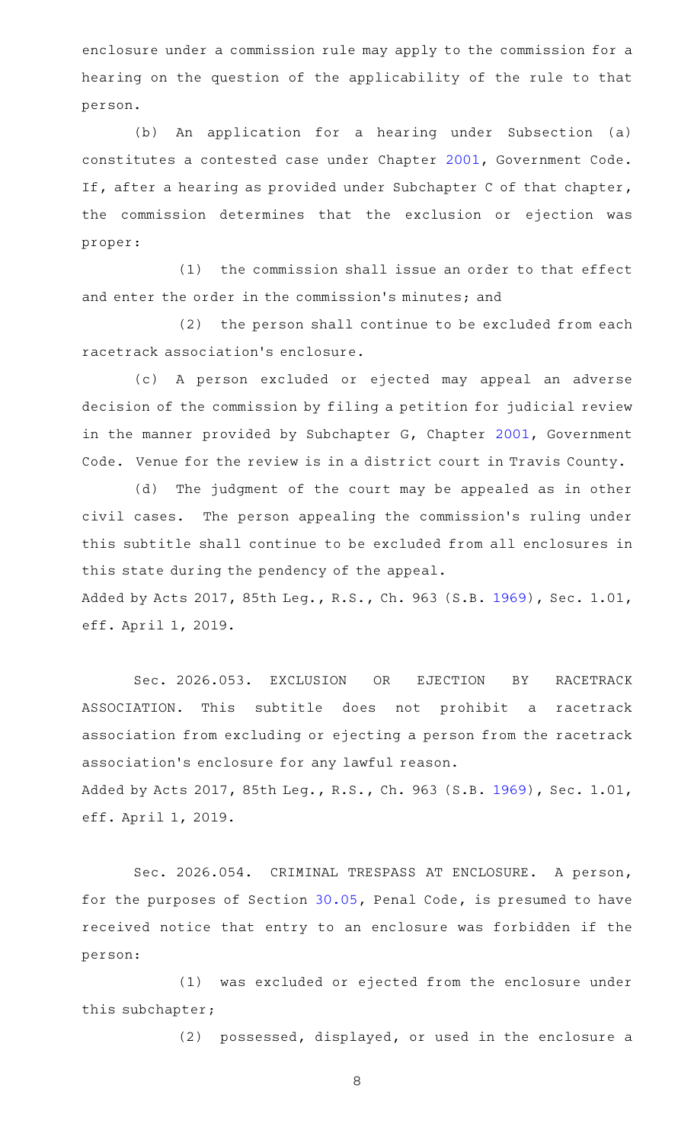enclosure under a commission rule may apply to the commission for a hearing on the question of the applicability of the rule to that person.

(b) An application for a hearing under Subsection (a) constitutes a contested case under Chapter [2001](http://www.statutes.legis.state.tx.us/GetStatute.aspx?Code=GV&Value=2001), Government Code. If, after a hearing as provided under Subchapter C of that chapter, the commission determines that the exclusion or ejection was proper:

 $(1)$  the commission shall issue an order to that effect and enter the order in the commission 's minutes; and

(2) the person shall continue to be excluded from each racetrack association 's enclosure.

(c)AAA person excluded or ejected may appeal an adverse decision of the commission by filing a petition for judicial review in the manner provided by Subchapter G, Chapter [2001](http://www.statutes.legis.state.tx.us/GetStatute.aspx?Code=GV&Value=2001), Government Code. Venue for the review is in a district court in Travis County.

(d) The judgment of the court may be appealed as in other civil cases. The person appealing the commission 's ruling under this subtitle shall continue to be excluded from all enclosures in this state during the pendency of the appeal.

Added by Acts 2017, 85th Leg., R.S., Ch. 963 (S.B. [1969](http://www.legis.state.tx.us/tlodocs/85R/billtext/html/SB01969F.HTM)), Sec. 1.01, eff. April 1, 2019.

Sec. 2026.053. EXCLUSION OR EJECTION BY RACETRACK ASSOCIATION. This subtitle does not prohibit a racetrack association from excluding or ejecting a person from the racetrack association 's enclosure for any lawful reason. Added by Acts 2017, 85th Leg., R.S., Ch. 963 (S.B. [1969](http://www.legis.state.tx.us/tlodocs/85R/billtext/html/SB01969F.HTM)), Sec. 1.01, eff. April 1, 2019.

Sec. 2026.054. CRIMINAL TRESPASS AT ENCLOSURE. A person, for the purposes of Section [30.05,](http://www.statutes.legis.state.tx.us/GetStatute.aspx?Code=PE&Value=30.05) Penal Code, is presumed to have received notice that entry to an enclosure was forbidden if the person:

(1) was excluded or ejected from the enclosure under this subchapter;

(2) possessed, displayed, or used in the enclosure a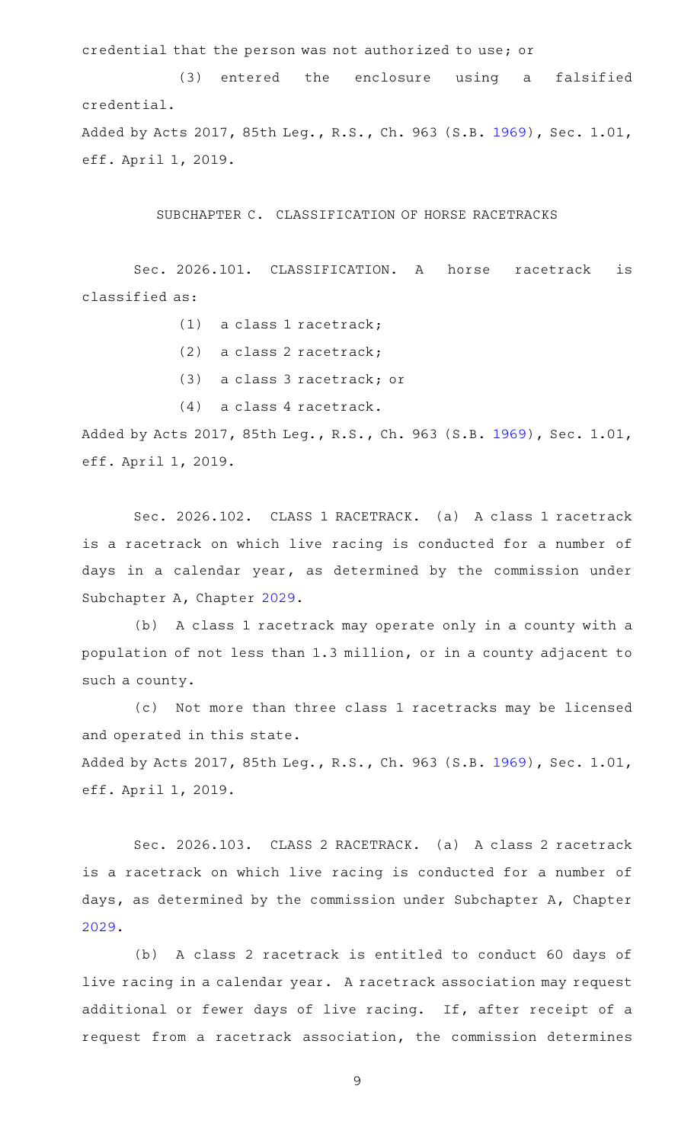credential that the person was not authorized to use; or

(3) entered the enclosure using a falsified credential. Added by Acts 2017, 85th Leg., R.S., Ch. 963 (S.B. [1969](http://www.legis.state.tx.us/tlodocs/85R/billtext/html/SB01969F.HTM)), Sec. 1.01, eff. April 1, 2019.

SUBCHAPTER C. CLASSIFICATION OF HORSE RACETRACKS

Sec. 2026.101. CLASSIFICATION. A horse racetrack is classified as:

- $(1)$  a class 1 racetrack;
- (2) a class 2 racetrack;
- (3) a class 3 racetrack; or
- $(4)$  a class 4 racetrack.

Added by Acts 2017, 85th Leg., R.S., Ch. 963 (S.B. [1969](http://www.legis.state.tx.us/tlodocs/85R/billtext/html/SB01969F.HTM)), Sec. 1.01, eff. April 1, 2019.

Sec. 2026.102. CLASS 1 RACETRACK. (a) A class 1 racetrack is a racetrack on which live racing is conducted for a number of days in a calendar year, as determined by the commission under Subchapter A, Chapter [2029.](http://www.statutes.legis.state.tx.us/GetStatute.aspx?Code=OC&Value=2029)

(b) A class 1 racetrack may operate only in a county with a population of not less than 1.3 million, or in a county adjacent to such a county.

(c) Not more than three class 1 racetracks may be licensed and operated in this state.

Added by Acts 2017, 85th Leg., R.S., Ch. 963 (S.B. [1969](http://www.legis.state.tx.us/tlodocs/85R/billtext/html/SB01969F.HTM)), Sec. 1.01, eff. April 1, 2019.

Sec. 2026.103. CLASS 2 RACETRACK. (a) A class 2 racetrack is a racetrack on which live racing is conducted for a number of days, as determined by the commission under Subchapter A, Chapter [2029](http://www.statutes.legis.state.tx.us/GetStatute.aspx?Code=OC&Value=2029).

(b) A class 2 racetrack is entitled to conduct 60 days of live racing in a calendar year. A racetrack association may request additional or fewer days of live racing. If, after receipt of a request from a racetrack association, the commission determines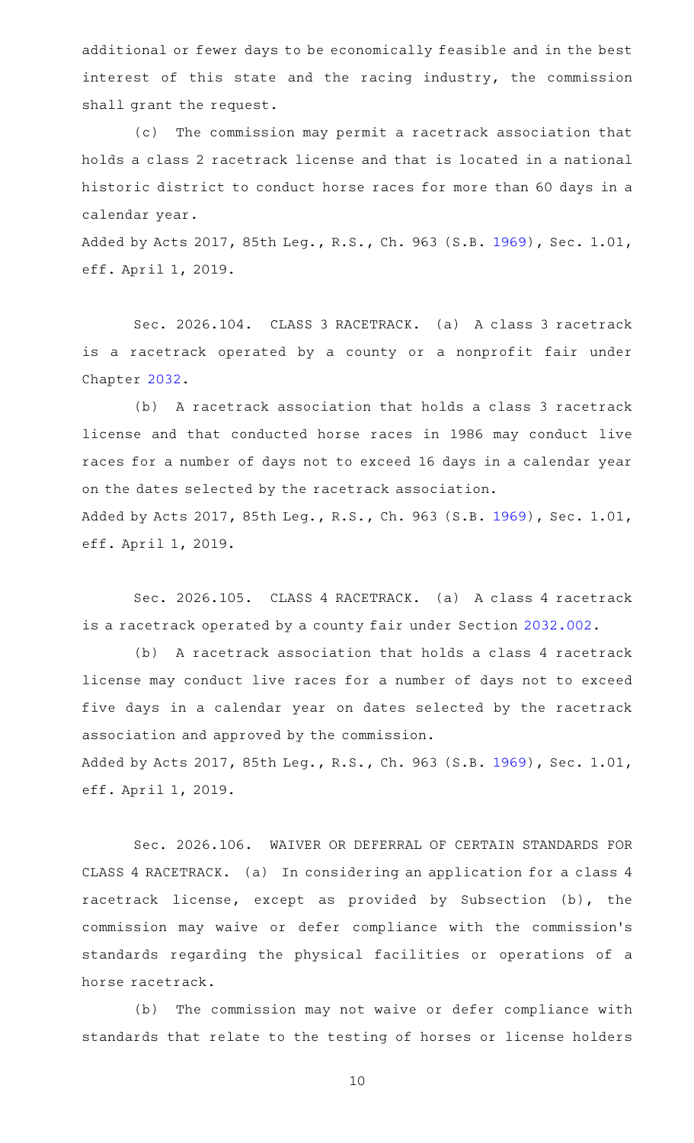additional or fewer days to be economically feasible and in the best interest of this state and the racing industry, the commission shall grant the request.

(c) The commission may permit a racetrack association that holds a class 2 racetrack license and that is located in a national historic district to conduct horse races for more than 60 days in a calendar year.

Added by Acts 2017, 85th Leg., R.S., Ch. 963 (S.B. [1969](http://www.legis.state.tx.us/tlodocs/85R/billtext/html/SB01969F.HTM)), Sec. 1.01, eff. April 1, 2019.

Sec. 2026.104. CLASS 3 RACETRACK. (a) A class 3 racetrack is a racetrack operated by a county or a nonprofit fair under Chapter [2032](http://www.statutes.legis.state.tx.us/GetStatute.aspx?Code=OC&Value=2032).

(b) A racetrack association that holds a class 3 racetrack license and that conducted horse races in 1986 may conduct live races for a number of days not to exceed 16 days in a calendar year on the dates selected by the racetrack association. Added by Acts 2017, 85th Leg., R.S., Ch. 963 (S.B. [1969](http://www.legis.state.tx.us/tlodocs/85R/billtext/html/SB01969F.HTM)), Sec. 1.01, eff. April 1, 2019.

Sec. 2026.105. CLASS 4 RACETRACK. (a) A class 4 racetrack is a racetrack operated by a county fair under Section [2032.002](http://www.statutes.legis.state.tx.us/GetStatute.aspx?Code=OC&Value=2032.002).

(b) A racetrack association that holds a class 4 racetrack license may conduct live races for a number of days not to exceed five days in a calendar year on dates selected by the racetrack association and approved by the commission. Added by Acts 2017, 85th Leg., R.S., Ch. 963 (S.B. [1969](http://www.legis.state.tx.us/tlodocs/85R/billtext/html/SB01969F.HTM)), Sec. 1.01,

eff. April 1, 2019.

Sec. 2026.106. WAIVER OR DEFERRAL OF CERTAIN STANDARDS FOR CLASS 4 RACETRACK. (a) In considering an application for a class 4 racetrack license, except as provided by Subsection (b), the commission may waive or defer compliance with the commission 's standards regarding the physical facilities or operations of a horse racetrack.

(b) The commission may not waive or defer compliance with standards that relate to the testing of horses or license holders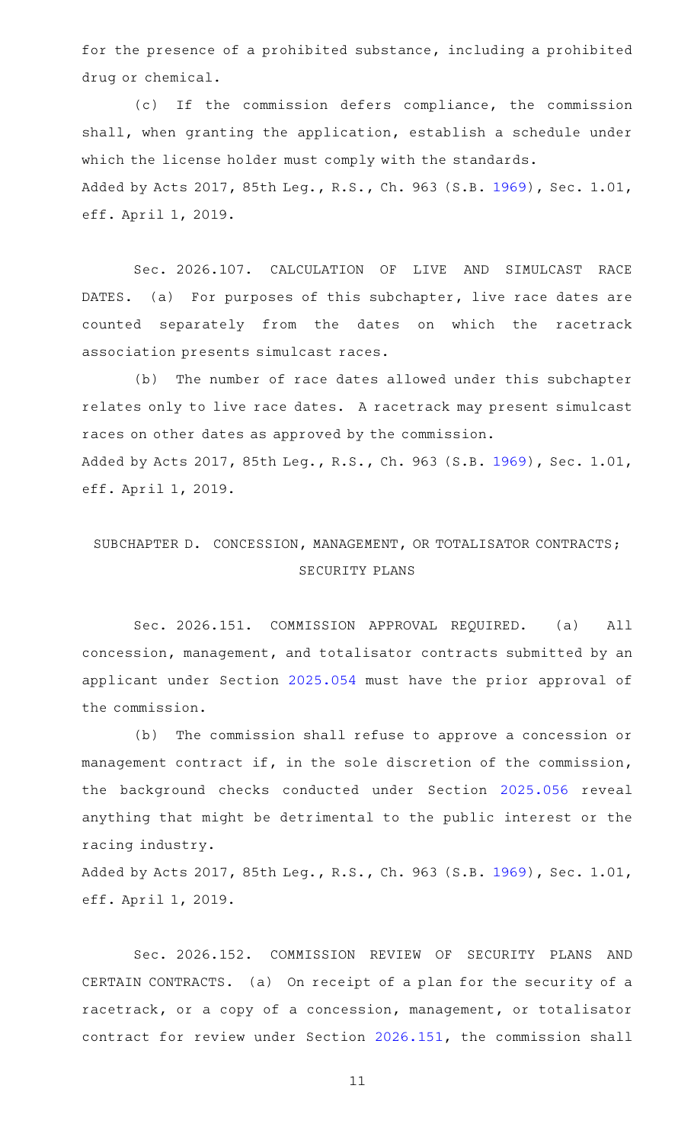for the presence of a prohibited substance, including a prohibited drug or chemical.

(c) If the commission defers compliance, the commission shall, when granting the application, establish a schedule under which the license holder must comply with the standards. Added by Acts 2017, 85th Leg., R.S., Ch. 963 (S.B. [1969](http://www.legis.state.tx.us/tlodocs/85R/billtext/html/SB01969F.HTM)), Sec. 1.01, eff. April 1, 2019.

Sec. 2026.107. CALCULATION OF LIVE AND SIMULCAST RACE DATES. (a) For purposes of this subchapter, live race dates are counted separately from the dates on which the racetrack association presents simulcast races.

(b) The number of race dates allowed under this subchapter relates only to live race dates. A racetrack may present simulcast races on other dates as approved by the commission. Added by Acts 2017, 85th Leg., R.S., Ch. 963 (S.B. [1969](http://www.legis.state.tx.us/tlodocs/85R/billtext/html/SB01969F.HTM)), Sec. 1.01, eff. April 1, 2019.

## SUBCHAPTER D. CONCESSION, MANAGEMENT, OR TOTALISATOR CONTRACTS; SECURITY PLANS

Sec. 2026.151. COMMISSION APPROVAL REQUIRED. (a) All concession, management, and totalisator contracts submitted by an applicant under Section [2025.054](http://www.statutes.legis.state.tx.us/GetStatute.aspx?Code=OC&Value=2025.054) must have the prior approval of the commission.

(b) The commission shall refuse to approve a concession or management contract if, in the sole discretion of the commission, the background checks conducted under Section [2025.056](http://www.statutes.legis.state.tx.us/GetStatute.aspx?Code=OC&Value=2025.056) reveal anything that might be detrimental to the public interest or the racing industry.

Added by Acts 2017, 85th Leg., R.S., Ch. 963 (S.B. [1969](http://www.legis.state.tx.us/tlodocs/85R/billtext/html/SB01969F.HTM)), Sec. 1.01, eff. April 1, 2019.

Sec. 2026.152. COMMISSION REVIEW OF SECURITY PLANS AND CERTAIN CONTRACTS. (a) On receipt of a plan for the security of a racetrack, or a copy of a concession, management, or totalisator contract for review under Section [2026.151,](http://www.statutes.legis.state.tx.us/GetStatute.aspx?Code=OC&Value=2026.151) the commission shall